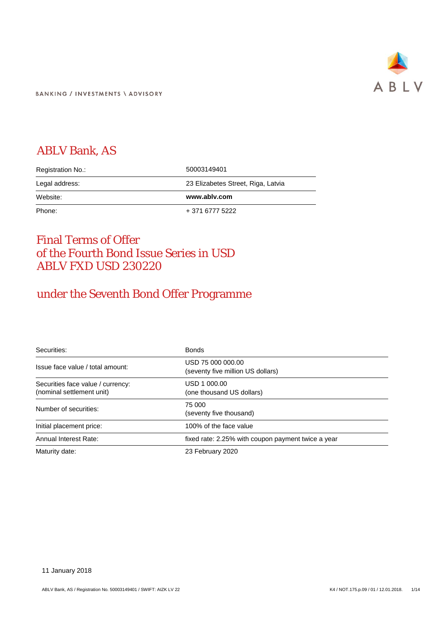

**BANKING / INVESTMENTS \ ADVISORY** 

### ABLV Bank, AS

| Registration No.: | 50003149401                        |
|-------------------|------------------------------------|
| Legal address:    | 23 Elizabetes Street, Riga, Latvia |
| Website:          | www.ablv.com                       |
| Phone:            | + 371 6777 5222                    |

### Final Terms of Offer of the Fourth Bond Issue Series in USD ABLV FXD USD 230220

## under the Seventh Bond Offer Programme

| Securities:                                                    | <b>Bonds</b>                                           |
|----------------------------------------------------------------|--------------------------------------------------------|
| Issue face value / total amount:                               | USD 75 000 000.00<br>(seventy five million US dollars) |
| Securities face value / currency:<br>(nominal settlement unit) | USD 1 000.00<br>(one thousand US dollars)              |
| Number of securities:                                          | 75 000<br>(seventy five thousand)                      |
| Initial placement price:                                       | 100% of the face value                                 |
| Annual Interest Rate:                                          | fixed rate: 2.25% with coupon payment twice a year     |
| Maturity date:                                                 | 23 February 2020                                       |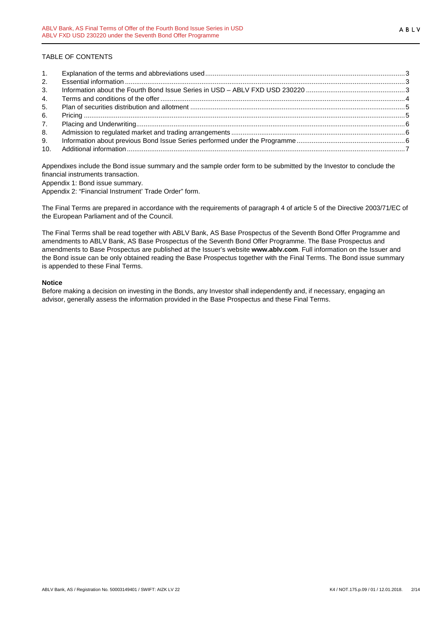#### TABLE OF CONTENTS

| 2. |  |
|----|--|
| 3. |  |
| 4. |  |
| 5. |  |
| 6. |  |
| 7. |  |
| 8. |  |
| 9. |  |
|    |  |

Appendixes include the Bond issue summary and the sample order form to be submitted by the Investor to conclude the financial instruments transaction.

Appendix 1: Bond issue summary.

Appendix 2: "Financial Instrument' Trade Order" form.

The Final Terms are prepared in accordance with the requirements of paragraph 4 of article 5 of the Directive 2003/71/EC of the European Parliament and of the Council.

The Final Terms shall be read together with ABLV Bank, AS Base Prospectus of the Seventh Bond Offer Programme and amendments to ABLV Bank, AS Base Prospectus of the Seventh Bond Offer Programme. The Base Prospectus and amendments to Base Prospectus are published at the Issuer's website **www.ablv.com**. Full information on the Issuer and the Bond issue can be only obtained reading the Base Prospectus together with the Final Terms. The Bond issue summary is appended to these Final Terms.

#### **Notice**

Before making a decision on investing in the Bonds, any Investor shall independently and, if necessary, engaging an advisor, generally assess the information provided in the Base Prospectus and these Final Terms.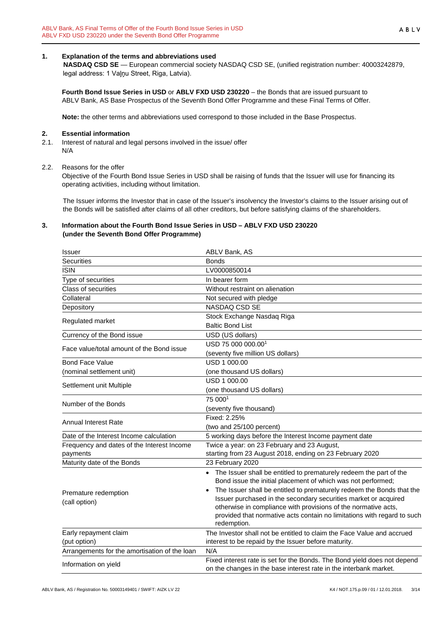#### <span id="page-2-0"></span>**1. Explanation of the terms and abbreviations used**

 **NASDAQ CSD SE** — European commercial society NASDAQ CSD SE, (unified registration number: 40003242879, legal address: 1 Vaļņu Street, Riga, Latvia).

**Fourth Bond Issue Series in USD** or **ABLV FXD USD 230220** – the Bonds that are issued pursuant to ABLV Bank, AS Base Prospectus of the Seventh Bond Offer Programme and these Final Terms of Offer.

**Note:** the other terms and abbreviations used correspond to those included in the Base Prospectus.

#### <span id="page-2-1"></span>**2. Essential information**

2.1. Interest of natural and legal persons involved in the issue/ offer N/A

#### 2.2. Reasons for the offer

Objective of the Fourth Bond Issue Series in USD shall be raising of funds that the Issuer will use for financing its operating activities, including without limitation.

The Issuer informs the Investor that in case of the Issuer's insolvency the Investor's claims to the Issuer arising out of the Bonds will be satisfied after claims of all other creditors, but before satisfying claims of the shareholders.

#### <span id="page-2-2"></span>**3. Information about the Fourth Bond Issue Series in USD – ABLV FXD USD 230220 (under the Seventh Bond Offer Programme)**

| Issuer                                        | ABLV Bank, AS                                                                          |
|-----------------------------------------------|----------------------------------------------------------------------------------------|
| <b>Securities</b>                             | <b>Bonds</b>                                                                           |
| <b>ISIN</b>                                   | LV0000850014                                                                           |
| Type of securities                            | In bearer form                                                                         |
| <b>Class of securities</b>                    | Without restraint on alienation                                                        |
| Collateral                                    | Not secured with pledge                                                                |
| Depository                                    | NASDAQ CSD SE                                                                          |
| Regulated market                              | Stock Exchange Nasdaq Riga                                                             |
|                                               | <b>Baltic Bond List</b>                                                                |
| Currency of the Bond issue                    | USD (US dollars)                                                                       |
| Face value/total amount of the Bond issue     | USD 75 000 000,00 <sup>1</sup>                                                         |
|                                               | (seventy five million US dollars)                                                      |
| <b>Bond Face Value</b>                        | USD 1 000.00                                                                           |
| (nominal settlement unit)                     | (one thousand US dollars)                                                              |
| Settlement unit Multiple                      | USD 1 000.00                                                                           |
|                                               | (one thousand US dollars)                                                              |
| Number of the Bonds                           | 75 0001                                                                                |
|                                               | (seventy five thousand)                                                                |
| <b>Annual Interest Rate</b>                   | Fixed: 2.25%                                                                           |
|                                               | (two and 25/100 percent)                                                               |
| Date of the Interest Income calculation       | 5 working days before the Interest Income payment date                                 |
| Frequency and dates of the Interest Income    | Twice a year: on 23 February and 23 August,                                            |
| payments                                      | starting from 23 August 2018, ending on 23 February 2020                               |
| Maturity date of the Bonds                    | 23 February 2020                                                                       |
|                                               | • The Issuer shall be entitled to prematurely redeem the part of the                   |
|                                               | Bond issue the initial placement of which was not performed;                           |
| Premature redemption                          | The Issuer shall be entitled to prematurely redeem the Bonds that the                  |
| (call option)                                 | Issuer purchased in the secondary securities market or acquired                        |
|                                               | otherwise in compliance with provisions of the normative acts,                         |
|                                               | provided that normative acts contain no limitations with regard to such<br>redemption. |
| Early repayment claim                         | The Investor shall not be entitled to claim the Face Value and accrued                 |
| (put option)                                  | interest to be repaid by the Issuer before maturity.                                   |
| Arrangements for the amortisation of the loan | N/A                                                                                    |
|                                               | Fixed interest rate is set for the Bonds. The Bond yield does not depend               |
| Information on yield                          | on the changes in the base interest rate in the interbank market.                      |
|                                               |                                                                                        |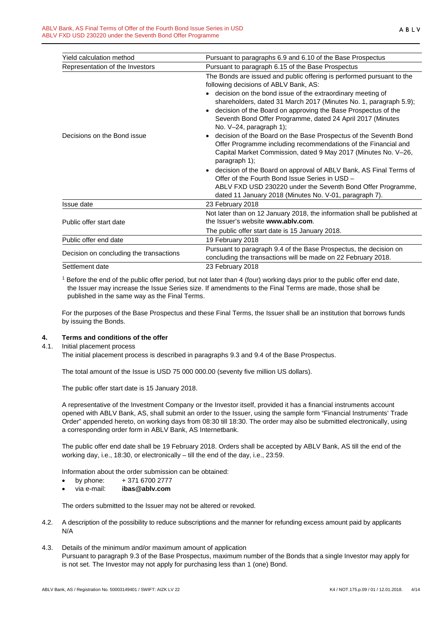| Yield calculation method                | Pursuant to paragraphs 6.9 and 6.10 of the Base Prospectus                                                                                                                                                                                                                                                                                                                                                                                                                                                                                                                                                                                                       |
|-----------------------------------------|------------------------------------------------------------------------------------------------------------------------------------------------------------------------------------------------------------------------------------------------------------------------------------------------------------------------------------------------------------------------------------------------------------------------------------------------------------------------------------------------------------------------------------------------------------------------------------------------------------------------------------------------------------------|
| Representation of the Investors         | Pursuant to paragraph 6.15 of the Base Prospectus                                                                                                                                                                                                                                                                                                                                                                                                                                                                                                                                                                                                                |
| Decisions on the Bond issue             | The Bonds are issued and public offering is performed pursuant to the<br>following decisions of ABLV Bank, AS:<br>• decision on the bond issue of the extraordinary meeting of<br>shareholders, dated 31 March 2017 (Minutes No. 1, paragraph 5.9);<br>decision of the Board on approving the Base Prospectus of the<br>$\bullet$<br>Seventh Bond Offer Programme, dated 24 April 2017 (Minutes<br>No. V-24, paragraph 1);<br>decision of the Board on the Base Prospectus of the Seventh Bond<br>$\bullet$<br>Offer Programme including recommendations of the Financial and<br>Capital Market Commission, dated 9 May 2017 (Minutes No. V-26,<br>paragraph 1); |
|                                         | • decision of the Board on approval of ABLV Bank, AS Final Terms of<br>Offer of the Fourth Bond Issue Series in USD -<br>ABLV FXD USD 230220 under the Seventh Bond Offer Programme,<br>dated 11 January 2018 (Minutes No. V-01, paragraph 7).                                                                                                                                                                                                                                                                                                                                                                                                                   |
| Issue date                              | 23 February 2018                                                                                                                                                                                                                                                                                                                                                                                                                                                                                                                                                                                                                                                 |
| Public offer start date                 | Not later than on 12 January 2018, the information shall be published at<br>the Issuer's website www.ably.com.                                                                                                                                                                                                                                                                                                                                                                                                                                                                                                                                                   |
|                                         | The public offer start date is 15 January 2018.                                                                                                                                                                                                                                                                                                                                                                                                                                                                                                                                                                                                                  |
| Public offer end date                   | 19 February 2018                                                                                                                                                                                                                                                                                                                                                                                                                                                                                                                                                                                                                                                 |
| Decision on concluding the transactions | Pursuant to paragraph 9.4 of the Base Prospectus, the decision on<br>concluding the transactions will be made on 22 February 2018.                                                                                                                                                                                                                                                                                                                                                                                                                                                                                                                               |
| Settlement date                         | 23 February 2018                                                                                                                                                                                                                                                                                                                                                                                                                                                                                                                                                                                                                                                 |

<sup>1</sup> Before the end of the public offer period, but not later than 4 (four) working days prior to the public offer end date, the Issuer may increase the Issue Series size. If amendments to the Final Terms are made, those shall be published in the same way as the Final Terms.

For the purposes of the Base Prospectus and these Final Terms, the Issuer shall be an institution that borrows funds by issuing the Bonds.

#### <span id="page-3-0"></span>**4. Terms and conditions of the offer**

4.1. Initial placement process

The initial placement process is described in paragraphs 9.3 and 9.4 of the Base Prospectus.

The total amount of the Issue is USD 75 000 000.00 (seventy five million US dollars).

The public offer start date is 15 January 2018.

A representative of the Investment Company or the Investor itself, provided it has a financial instruments account opened with ABLV Bank, AS, shall submit an order to the Issuer, using the sample form "Financial Instruments' Trade Order" appended hereto, on working days from 08:30 till 18:30. The order may also be submitted electronically, using a corresponding order form in ABLV Bank, AS Internetbank.

The public offer end date shall be 19 February 2018. Orders shall be accepted by ABLV Bank, AS till the end of the working day, i.e., 18:30, or electronically – till the end of the day, i.e., 23:59.

Information about the order submission can be obtained:

- by phone:  $+371\,6700\,2777$
- via e-mail: **ibas@ablv.com**

The orders submitted to the Issuer may not be altered or revoked.

- 4.2. A description of the possibility to reduce subscriptions and the manner for refunding excess amount paid by applicants N/A
- 4.3. Details of the minimum and/or maximum amount of application Pursuant to paragraph 9.3 of the Base Prospectus, maximum number of the Bonds that a single Investor may apply for is not set. The Investor may not apply for purchasing less than 1 (one) Bond.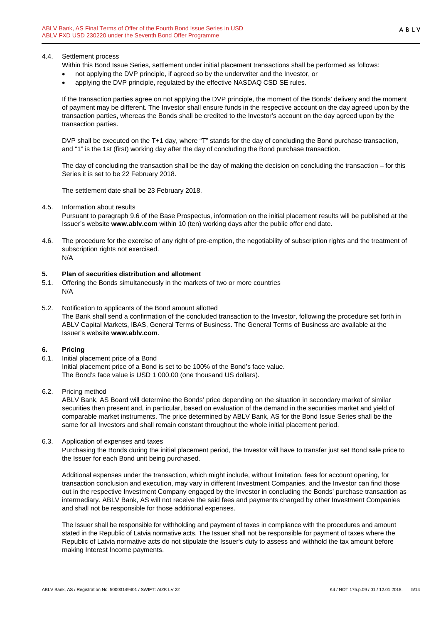#### 4.4. Settlement process

Within this Bond Issue Series, settlement under initial placement transactions shall be performed as follows:

- not applying the DVP principle, if agreed so by the underwriter and the Investor, or
- applying the DVP principle, regulated by the effective NASDAQ CSD SE rules.

If the transaction parties agree on not applying the DVP principle, the moment of the Bonds' delivery and the moment of payment may be different. The Investor shall ensure funds in the respective account on the day agreed upon by the transaction parties, whereas the Bonds shall be credited to the Investor's account on the day agreed upon by the transaction parties.

DVP shall be executed on the T+1 day, where "T" stands for the day of concluding the Bond purchase transaction, and "1" is the 1st (first) working day after the day of concluding the Bond purchase transaction.

The day of concluding the transaction shall be the day of making the decision on concluding the transaction – for this Series it is set to be 22 February 2018.

The settlement date shall be 23 February 2018.

#### 4.5. Information about results

Pursuant to paragraph 9.6 of the Base Prospectus, information on the initial placement results will be published at the Issuer's website **www.ablv.com** within 10 (ten) working days after the public offer end date.

4.6. The procedure for the exercise of any right of pre-emption, the negotiability of subscription rights and the treatment of subscription rights not exercised. N/A

#### <span id="page-4-0"></span>**5. Plan of securities distribution and allotment**

- 5.1. Offering the Bonds simultaneously in the markets of two or more countries N/A
- 5.2. Notification to applicants of the Bond amount allotted The Bank shall send a confirmation of the concluded transaction to the Investor, following the procedure set forth in ABLV Capital Markets, IBAS, General Terms of Business. The General Terms of Business are available at the Issuer's website **[www.ablv.com](http://www.ablv.com/)**.

#### <span id="page-4-1"></span>**6. Pricing**

- 6.1. Initial placement price of a Bond Initial placement price of a Bond is set to be 100% of the Bond's face value. The Bond's face value is USD 1 000.00 (one thousand US dollars).
- 6.2. Pricing method

ABLV Bank, AS Board will determine the Bonds' price depending on the situation in secondary market of similar securities then present and, in particular, based on evaluation of the demand in the securities market and yield of comparable market instruments. The price determined by ABLV Bank, AS for the Bond Issue Series shall be the same for all Investors and shall remain constant throughout the whole initial placement period.

6.3. Application of expenses and taxes

Purchasing the Bonds during the initial placement period, the Investor will have to transfer just set Bond sale price to the Issuer for each Bond unit being purchased.

Additional expenses under the transaction, which might include, without limitation, fees for account opening, for transaction conclusion and execution, may vary in different Investment Companies, and the Investor can find those out in the respective Investment Company engaged by the Investor in concluding the Bonds' purchase transaction as intermediary. ABLV Bank, AS will not receive the said fees and payments charged by other Investment Companies and shall not be responsible for those additional expenses.

The Issuer shall be responsible for withholding and payment of taxes in compliance with the procedures and amount stated in the Republic of Latvia normative acts. The Issuer shall not be responsible for payment of taxes where the Republic of Latvia normative acts do not stipulate the Issuer's duty to assess and withhold the tax amount before making Interest Income payments.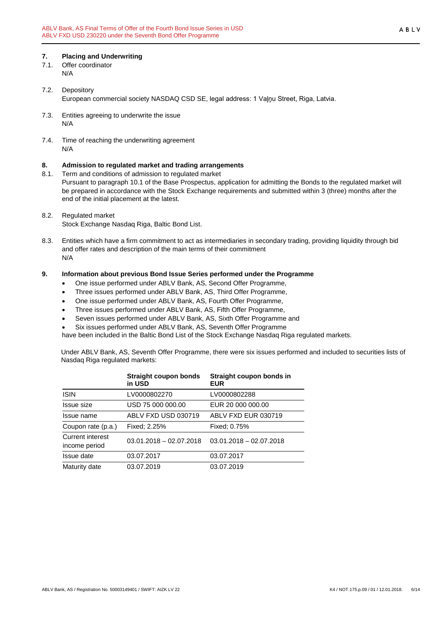# <span id="page-5-0"></span>**7. Placing and Underwriting**

- Offer coordinator N/A
- 7.2. Depository European commercial society NASDAQ CSD SE, legal address: 1 Vaļņu Street, Riga, Latvia.
- 7.3. Entities agreeing to underwrite the issue N/A
- 7.4. Time of reaching the underwriting agreement N/A

# <span id="page-5-1"></span>**8. Admission to regulated market and trading arrangements**

- Term and conditions of admission to regulated market Pursuant to paragraph 10.1 of the Base Prospectus, application for admitting the Bonds to the regulated market will be prepared in accordance with the Stock Exchange requirements and submitted within 3 (three) months after the end of the initial placement at the latest.
- 8.2. Regulated market Stock Exchange Nasdaq Riga, Baltic Bond List.
- 8.3. Entities which have a firm commitment to act as intermediaries in secondary trading, providing liquidity through bid and offer rates and description of the main terms of their commitment N/A

#### <span id="page-5-2"></span>**9. Information about previous Bond Issue Series performed under the Programme**

- One issue performed under ABLV Bank, AS, Second Offer Programme,
- Three issues performed under ABLV Bank, AS, Third Offer Programme,
- One issue performed under ABLV Bank, AS, Fourth Offer Programme,
- Three issues performed under ABLV Bank, AS, Fifth Offer Programme,
- Seven issues performed under ABLV Bank, AS, Sixth Offer Programme and
- Six issues performed under ABLV Bank, AS, Seventh Offer Programme

have been included in the Baltic Bond List of the Stock Exchange Nasdaq Riga regulated markets.

Under ABLV Bank, AS, Seventh Offer Programme, there were six issues performed and included to securities lists of Nasdaq Riga regulated markets:

|                                   | <b>Straight coupon bonds</b><br>in USD | Straight coupon bonds in<br><b>EUR</b> |
|-----------------------------------|----------------------------------------|----------------------------------------|
| <b>ISIN</b>                       | LV0000802270                           | LV0000802288                           |
| Issue size                        | USD 75 000 000.00                      | EUR 20 000 000.00                      |
| Issue name                        | ABLV FXD USD 030719                    | ABLV FXD EUR 030719                    |
| Coupon rate (p.a.)                | Fixed: 2.25%                           | Fixed: 0.75%                           |
| Current interest<br>income period | $03.01.2018 - 02.07.2018$              | $03.01.2018 - 02.07.2018$              |
| Issue date                        | 03.07.2017                             | 03.07.2017                             |
| Maturity date                     | 03.07.2019                             | 03.07.2019                             |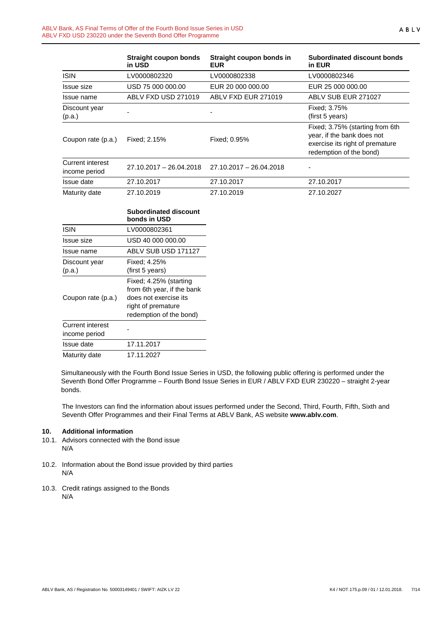|                                   | <b>Straight coupon bonds</b><br>in USD | Straight coupon bonds in<br><b>EUR</b> | Subordinated discount bonds<br>in EUR                                                                                       |
|-----------------------------------|----------------------------------------|----------------------------------------|-----------------------------------------------------------------------------------------------------------------------------|
| <b>ISIN</b>                       | LV0000802320                           | LV0000802338                           | LV0000802346                                                                                                                |
| Issue size                        | USD 75 000 000.00                      | EUR 20 000 000.00                      | EUR 25 000 000.00                                                                                                           |
| Issue name                        | ABLV FXD USD 271019                    | ABLV FXD EUR 271019                    | ABLV SUB EUR 271027                                                                                                         |
| Discount year<br>(p.a.)           |                                        |                                        | Fixed: 3.75%<br>(first 5 years)                                                                                             |
| Coupon rate (p.a.)                | Fixed: 2.15%                           | Fixed: 0.95%                           | Fixed; 3.75% (starting from 6th<br>year, if the bank does not<br>exercise its right of premature<br>redemption of the bond) |
| Current interest<br>income period | $27.10.2017 - 26.04.2018$              | 27.10.2017 - 26.04.2018                |                                                                                                                             |
| Issue date                        | 27.10.2017                             | 27.10.2017                             | 27.10.2017                                                                                                                  |
| Maturity date                     | 27.10.2019                             | 27.10.2019                             | 27.10.2027                                                                                                                  |

|                                          | <b>Subordinated discount</b><br>bonds in USD                                                                                   |
|------------------------------------------|--------------------------------------------------------------------------------------------------------------------------------|
| <b>ISIN</b>                              | LV0000802361                                                                                                                   |
| Issue size                               | USD 40 000 000.00                                                                                                              |
| Issue name                               | ABLV SUB USD 171127                                                                                                            |
| Discount year                            | Fixed: 4.25%                                                                                                                   |
| (p.a.)                                   | (first 5 years)                                                                                                                |
| Coupon rate (p.a.)                       | Fixed; 4.25% (starting<br>from 6th year, if the bank<br>does not exercise its<br>right of premature<br>redemption of the bond) |
| <b>Current interest</b><br>income period |                                                                                                                                |
| Issue date                               | 17.11.2017                                                                                                                     |
| Maturity date                            | 17.11.2027                                                                                                                     |

Simultaneously with the Fourth Bond Issue Series in USD, the following public offering is performed under the Seventh Bond Offer Programme – Fourth Bond Issue Series in EUR / ABLV FXD EUR 230220 – straight 2-year bonds.

The Investors can find the information about issues performed under the Second, Third, Fourth, Fifth, Sixth and Seventh Offer Programmes and their Final Terms at ABLV Bank, AS website **[www.ablv.com](http://www.ablv.com/)**.

#### <span id="page-6-0"></span>**10. Additional information**

- 10.1. Advisors connected with the Bond issue N/A
- 10.2. Information about the Bond issue provided by third parties N/A
- 10.3. Credit ratings assigned to the Bonds N/A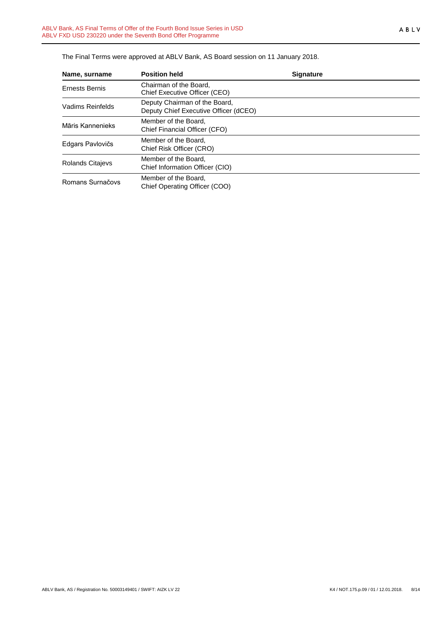| Name, surname         | <b>Position held</b>                                                   | <b>Signature</b> |  |
|-----------------------|------------------------------------------------------------------------|------------------|--|
| <b>Ernests Bernis</b> | Chairman of the Board.<br>Chief Executive Officer (CEO)                |                  |  |
| Vadims Reinfelds      | Deputy Chairman of the Board,<br>Deputy Chief Executive Officer (dCEO) |                  |  |
| Māris Kannenieks      | Member of the Board.<br>Chief Financial Officer (CFO)                  |                  |  |
| Edgars Pavlovičs      | Member of the Board,<br>Chief Risk Officer (CRO)                       |                  |  |
| Rolands Citajevs      | Member of the Board.<br>Chief Information Officer (CIO)                |                  |  |
| Romans Surnačovs      | Member of the Board.<br>Chief Operating Officer (COO)                  |                  |  |

The Final Terms were approved at ABLV Bank, AS Board session on 11 January 2018.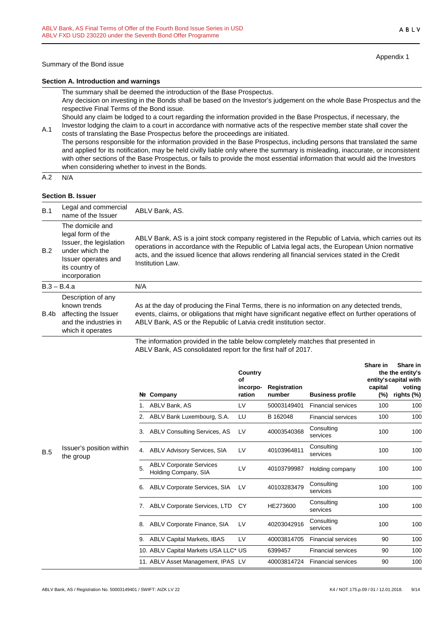Appendix 1

#### **Section A. Introduction and warnings**

The summary shall be deemed the introduction of the Base Prospectus.

Any decision on investing in the Bonds shall be based on the Investor's judgement on the whole Base Prospectus and the respective Final Terms of the Bond issue.

Should any claim be lodged to a court regarding the information provided in the Base Prospectus, if necessary, the Investor lodging the claim to a court in accordance with normative acts of the respective member state shall cover the

A.1 costs of translating the Base Prospectus before the proceedings are initiated. The persons responsible for the information provided in the Base Prospectus, including persons that translated the same and applied for its notification, may be held civilly liable only where the summary is misleading, inaccurate, or inconsistent with other sections of the Base Prospectus, or fails to provide the most essential information that would aid the Investors when considering whether to invest in the Bonds.

 $A.2 N/A$ 

#### **Section B. Issuer**

| B.1        | Legal and commercial<br>name of the Issuer                                                                                                    | ABLV Bank, AS.                                                                                                                                                                                                                                                                                                            |  |
|------------|-----------------------------------------------------------------------------------------------------------------------------------------------|---------------------------------------------------------------------------------------------------------------------------------------------------------------------------------------------------------------------------------------------------------------------------------------------------------------------------|--|
| <b>B.2</b> | The domicile and<br>legal form of the<br>Issuer, the legislation<br>under which the<br>Issuer operates and<br>its country of<br>incorporation | ABLV Bank, AS is a joint stock company registered in the Republic of Latvia, which carries out its<br>operations in accordance with the Republic of Latvia legal acts, the European Union normative<br>acts, and the issued licence that allows rendering all financial services stated in the Credit<br>Institution Law. |  |
|            | $B.3 - B.4.a$                                                                                                                                 | N/A                                                                                                                                                                                                                                                                                                                       |  |
| B.4b       | Description of any<br>known trends<br>affecting the Issuer<br>and the industries in<br>which it operates                                      | As at the day of producing the Final Terms, there is no information on any detected trends,<br>events, claims, or obligations that might have significant negative effect on further operations of<br>ABLV Bank, AS or the Republic of Latvia credit institution sector.                                                  |  |
|            |                                                                                                                                               | The information provided in the table below completely matches that presented in                                                                                                                                                                                                                                          |  |

The information provided in the table below completely matches that presented in ABLV Bank, AS consolidated report for the first half of 2017.

|     |                                       |    |                                                        | Country<br>Οf<br>incorpo- | <b>Registration</b> |                           | Share in<br>capital | Share in<br>the the entity's<br>entity's capital with<br>voting |
|-----|---------------------------------------|----|--------------------------------------------------------|---------------------------|---------------------|---------------------------|---------------------|-----------------------------------------------------------------|
|     |                                       |    | Nº Company                                             | ration                    | number              | <b>Business profile</b>   | (%)                 | rights (%)                                                      |
|     |                                       |    | ABLV Bank, AS                                          | LV                        | 50003149401         | <b>Financial services</b> | 100                 | 100                                                             |
|     |                                       |    | 2. ABLV Bank Luxembourg, S.A.                          | LU                        | B 162048            | <b>Financial services</b> | 100                 | 100                                                             |
|     |                                       | 3. | <b>ABLV Consulting Services, AS</b>                    | LV                        | 40003540368         | Consulting<br>services    | 100                 | 100                                                             |
| B.5 | Issuer's position within<br>the group | 4. | <b>ABLV Advisory Services, SIA</b>                     | LV                        | 40103964811         | Consulting<br>services    | 100                 | 100                                                             |
|     |                                       | 5. | <b>ABLV Corporate Services</b><br>Holding Company, SIA | LV                        | 40103799987         | Holding company           | 100                 | 100                                                             |
|     |                                       | 6. | <b>ABLV Corporate Services, SIA</b>                    | LV                        | 40103283479         | Consulting<br>services    | 100                 | 100                                                             |
|     |                                       | 7. | ABLV Corporate Services, LTD                           | CY                        | HE273600            | Consulting<br>services    | 100                 | 100                                                             |
|     |                                       | 8. | ABLV Corporate Finance, SIA                            | LV                        | 40203042916         | Consulting<br>services    | 100                 | 100                                                             |
|     |                                       | 9. | <b>ABLV Capital Markets, IBAS</b>                      | LV                        | 40003814705         | <b>Financial services</b> | 90                  | 100                                                             |
|     |                                       |    | 10. ABLV Capital Markets USA LLC* US                   |                           | 6399457             | <b>Financial services</b> | 90                  | 100                                                             |
|     |                                       |    | 11. ABLV Asset Management, IPAS LV                     |                           | 40003814724         | <b>Financial services</b> | 90                  | 100                                                             |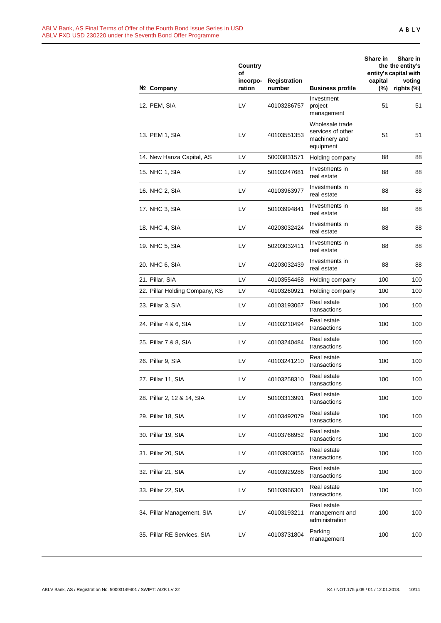|                                | <b>Country</b><br>οf |                        |                                                                    | Share in          | Share in<br>the the entity's<br>entity's capital with |
|--------------------------------|----------------------|------------------------|--------------------------------------------------------------------|-------------------|-------------------------------------------------------|
| Nº Company                     | incorpo-<br>ration   | Registration<br>number | <b>Business profile</b>                                            | capital<br>$(\%)$ | voting<br>rights (%)                                  |
| 12. PEM, SIA                   | LV                   | 40103286757            | Investment<br>project<br>management                                | 51                | 51                                                    |
| 13. PEM 1, SIA                 | LV                   | 40103551353            | Wholesale trade<br>services of other<br>machinery and<br>equipment | 51                | 51                                                    |
| 14. New Hanza Capital, AS      | LV                   | 50003831571            | Holding company                                                    | 88                | 88                                                    |
| 15. NHC 1, SIA                 | LV                   | 50103247681            | Investments in<br>real estate                                      | 88                | 88                                                    |
| 16. NHC 2, SIA                 | LV                   | 40103963977            | Investments in<br>real estate                                      | 88                | 88                                                    |
| 17. NHC 3, SIA                 | LV                   | 50103994841            | Investments in<br>real estate                                      | 88                | 88                                                    |
| 18. NHC 4, SIA                 | LV                   | 40203032424            | Investments in<br>real estate                                      | 88                | 88                                                    |
| 19. NHC 5, SIA                 | LV                   | 50203032411            | Investments in<br>real estate                                      | 88                | 88                                                    |
| 20. NHC 6, SIA                 | LV                   | 40203032439            | Investments in<br>real estate                                      | 88                | 88                                                    |
| 21. Pillar, SIA                | LV                   | 40103554468            | Holding company                                                    | 100               | 100                                                   |
| 22. Pillar Holding Company, KS | LV                   | 40103260921            | Holding company                                                    | 100               | 100                                                   |
| 23. Pillar 3, SIA              | LV                   | 40103193067            | Real estate<br>transactions                                        | 100               | 100                                                   |
| 24. Pillar 4 & 6, SIA          | LV                   | 40103210494            | Real estate<br>transactions                                        | 100               | 100                                                   |
| 25. Pillar 7 & 8, SIA          | LV                   | 40103240484            | Real estate<br>transactions                                        | 100               | 100                                                   |
| 26. Pillar 9, SIA              | LV                   | 40103241210            | Real estate<br>transactions                                        | 100               | 100                                                   |
| 27. Pillar 11, SIA             | LV                   | 40103258310            | Real estate<br>transactions                                        | 100               | 100                                                   |
| 28. Pillar 2, 12 & 14, SIA     | LV                   | 50103313991            | Real estate<br>transactions                                        | 100               | 100                                                   |
| 29. Pillar 18, SIA             | LV                   | 40103492079            | Real estate<br>transactions                                        | 100               | 100                                                   |
| 30. Pillar 19, SIA             | LV                   | 40103766952            | Real estate<br>transactions                                        | 100               | 100                                                   |
| 31. Pillar 20, SIA             | LV                   | 40103903056            | Real estate<br>transactions                                        | 100               | 100                                                   |
| 32. Pillar 21, SIA             | LV                   | 40103929286            | Real estate<br>transactions                                        | 100               | 100                                                   |
| 33. Pillar 22, SIA             | LV                   | 50103966301            | Real estate<br>transactions                                        | 100               | 100                                                   |
| 34. Pillar Management, SIA     | LV                   | 40103193211            | Real estate<br>management and<br>administration                    | 100               | 100                                                   |
| 35. Pillar RE Services, SIA    | LV                   | 40103731804            | Parking<br>management                                              | 100               | 100                                                   |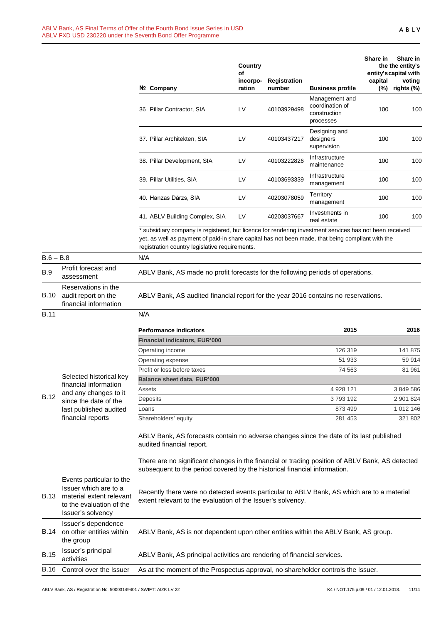| Nº. | Company                        | Country<br>οf<br>incorpo-<br>ration | <b>Registration</b><br>number | <b>Business profile</b>                                        | Share in<br>capital<br>$(\%)$ | Share in<br>the the entity's<br>entity's capital with<br>voting<br>rights (%) |
|-----|--------------------------------|-------------------------------------|-------------------------------|----------------------------------------------------------------|-------------------------------|-------------------------------------------------------------------------------|
| 36  | Pillar Contractor, SIA         | LV                                  | 40103929498                   | Management and<br>coordination of<br>construction<br>processes | 100                           | 100                                                                           |
|     | 37. Pillar Architekten, SIA    | LV                                  | 40103437217                   | Designing and<br>designers<br>supervision                      | 100                           | 100                                                                           |
|     | 38. Pillar Development, SIA    | LV                                  | 40103222826                   | Infrastructure<br>maintenance                                  | 100                           | 100                                                                           |
|     | 39. Pillar Utilities, SIA      | LV                                  | 40103693339                   | Infrastructure<br>management                                   | 100                           | 100                                                                           |
|     | 40. Hanzas Dārzs, SIA          | LV                                  | 40203078059                   | Territory<br>management                                        | 100                           | 100                                                                           |
|     | 41. ABLV Building Complex, SIA | LV                                  | 40203037667                   | Investments in<br>real estate                                  | 100                           | 100                                                                           |

\* subsidiary company is registered, but licence for rendering investment services has not been received yet, as well as payment of paid-in share capital has not been made, that being compliant with the registration country legislative requirements.

| $B.6 - B.8$ |                                                                                                                                | N/A                                                                                                                                                                                                                     |           |           |  |  |
|-------------|--------------------------------------------------------------------------------------------------------------------------------|-------------------------------------------------------------------------------------------------------------------------------------------------------------------------------------------------------------------------|-----------|-----------|--|--|
| <b>B.9</b>  | Profit forecast and<br>assessment                                                                                              | ABLV Bank, AS made no profit forecasts for the following periods of operations.                                                                                                                                         |           |           |  |  |
| <b>B.10</b> | Reservations in the<br>audit report on the<br>financial information                                                            | ABLV Bank, AS audited financial report for the year 2016 contains no reservations.                                                                                                                                      |           |           |  |  |
| <b>B.11</b> |                                                                                                                                | N/A                                                                                                                                                                                                                     |           |           |  |  |
|             |                                                                                                                                | <b>Performance indicators</b>                                                                                                                                                                                           | 2015      | 2016      |  |  |
|             |                                                                                                                                | <b>Financial indicators, EUR'000</b>                                                                                                                                                                                    |           |           |  |  |
|             |                                                                                                                                | Operating income                                                                                                                                                                                                        | 126 319   | 141 875   |  |  |
|             |                                                                                                                                | Operating expense                                                                                                                                                                                                       | 51 933    | 59 914    |  |  |
|             |                                                                                                                                | Profit or loss before taxes                                                                                                                                                                                             | 74 563    | 81 961    |  |  |
|             | Selected historical key                                                                                                        | <b>Balance sheet data, EUR'000</b>                                                                                                                                                                                      |           |           |  |  |
|             | financial information<br>and any changes to it                                                                                 | Assets                                                                                                                                                                                                                  | 4 928 121 | 3 849 586 |  |  |
| <b>B.12</b> | since the date of the                                                                                                          | Deposits                                                                                                                                                                                                                | 3793192   | 2 901 824 |  |  |
|             | last published audited                                                                                                         | Loans                                                                                                                                                                                                                   | 873 499   | 1 012 146 |  |  |
|             | financial reports                                                                                                              | Shareholders' equity                                                                                                                                                                                                    | 281 453   | 321 802   |  |  |
|             |                                                                                                                                | ABLV Bank, AS forecasts contain no adverse changes since the date of its last published<br>audited financial report.<br>There are no significant changes in the financial or trading position of ABLV Bank, AS detected |           |           |  |  |
|             |                                                                                                                                | subsequent to the period covered by the historical financial information.                                                                                                                                               |           |           |  |  |
| B.13        | Events particular to the<br>Issuer which are to a<br>material extent relevant<br>to the evaluation of the<br>Issuer's solvency | Recently there were no detected events particular to ABLV Bank, AS which are to a material<br>extent relevant to the evaluation of the Issuer's solvency.                                                               |           |           |  |  |
| B.14        | Issuer's dependence<br>on other entities within<br>the group                                                                   | ABLV Bank, AS is not dependent upon other entities within the ABLV Bank, AS group.                                                                                                                                      |           |           |  |  |
| <b>B.15</b> | Issuer's principal<br>activities                                                                                               | ABLV Bank, AS principal activities are rendering of financial services.                                                                                                                                                 |           |           |  |  |
| <b>B.16</b> | Control over the Issuer                                                                                                        | As at the moment of the Prospectus approval, no shareholder controls the Issuer.                                                                                                                                        |           |           |  |  |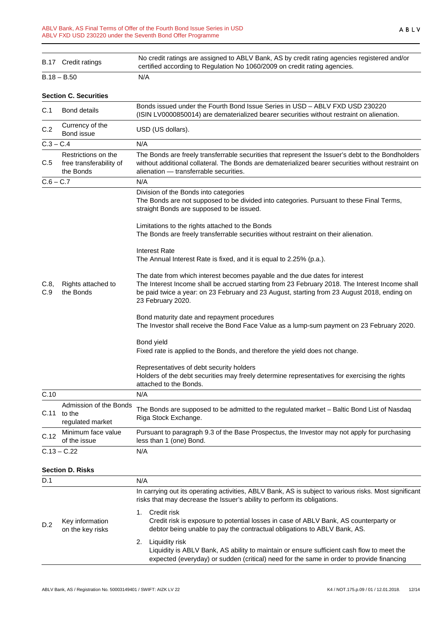|                                                             | No credit ratings are assigned to ABLV Bank, AS by credit rating agencies registered and/or<br>certified according to Regulation No 1060/2009 on credit rating agencies.                                                                                                                          |  |  |  |
|-------------------------------------------------------------|---------------------------------------------------------------------------------------------------------------------------------------------------------------------------------------------------------------------------------------------------------------------------------------------------|--|--|--|
|                                                             | N/A                                                                                                                                                                                                                                                                                               |  |  |  |
|                                                             |                                                                                                                                                                                                                                                                                                   |  |  |  |
| <b>Bond details</b>                                         | Bonds issued under the Fourth Bond Issue Series in USD - ABLV FXD USD 230220<br>(ISIN LV0000850014) are dematerialized bearer securities without restraint on alienation.                                                                                                                         |  |  |  |
| Currency of the<br>Bond issue                               | USD (US dollars).                                                                                                                                                                                                                                                                                 |  |  |  |
|                                                             | N/A                                                                                                                                                                                                                                                                                               |  |  |  |
| Restrictions on the<br>free transferability of<br>the Bonds | The Bonds are freely transferrable securities that represent the Issuer's debt to the Bondholders<br>without additional collateral. The Bonds are dematerialized bearer securities without restraint on<br>alienation - transferrable securities.                                                 |  |  |  |
|                                                             | N/A                                                                                                                                                                                                                                                                                               |  |  |  |
|                                                             | Division of the Bonds into categories<br>The Bonds are not supposed to be divided into categories. Pursuant to these Final Terms,<br>straight Bonds are supposed to be issued.                                                                                                                    |  |  |  |
|                                                             | Limitations to the rights attached to the Bonds<br>The Bonds are freely transferrable securities without restraint on their alienation.                                                                                                                                                           |  |  |  |
| Rights attached to<br>the Bonds                             | <b>Interest Rate</b><br>The Annual Interest Rate is fixed, and it is equal to 2.25% (p.a.).                                                                                                                                                                                                       |  |  |  |
|                                                             | The date from which interest becomes payable and the due dates for interest<br>The Interest Income shall be accrued starting from 23 February 2018. The Interest Income shall<br>be paid twice a year: on 23 February and 23 August, starting from 23 August 2018, ending on<br>23 February 2020. |  |  |  |
|                                                             | Bond maturity date and repayment procedures<br>The Investor shall receive the Bond Face Value as a lump-sum payment on 23 February 2020.                                                                                                                                                          |  |  |  |
|                                                             | Bond yield<br>Fixed rate is applied to the Bonds, and therefore the yield does not change.                                                                                                                                                                                                        |  |  |  |
|                                                             | Representatives of debt security holders<br>Holders of the debt securities may freely determine representatives for exercising the rights<br>attached to the Bonds.                                                                                                                               |  |  |  |
|                                                             | N/A                                                                                                                                                                                                                                                                                               |  |  |  |
| Admission of the Bonds<br>to the<br>regulated market        | The Bonds are supposed to be admitted to the regulated market - Baltic Bond List of Nasdaq<br>Riga Stock Exchange.                                                                                                                                                                                |  |  |  |
| Minimum face value<br>of the issue                          | Pursuant to paragraph 9.3 of the Base Prospectus, the Investor may not apply for purchasing<br>less than 1 (one) Bond.                                                                                                                                                                            |  |  |  |
|                                                             | N/A                                                                                                                                                                                                                                                                                               |  |  |  |
|                                                             |                                                                                                                                                                                                                                                                                                   |  |  |  |
|                                                             | N/A                                                                                                                                                                                                                                                                                               |  |  |  |
|                                                             | In carrying out its operating activities, ABLV Bank, AS is subject to various risks. Most significant<br>risks that may decrease the Issuer's ability to perform its obligations.                                                                                                                 |  |  |  |
| Key information<br>on the key risks                         | Credit risk<br>1.<br>Credit risk is exposure to potential losses in case of ABLV Bank, AS counterparty or<br>debtor being unable to pay the contractual obligations to ABLV Bank, AS.                                                                                                             |  |  |  |
|                                                             | Liquidity risk<br>2.<br>Liquidity is ABLV Bank, AS ability to maintain or ensure sufficient cash flow to meet the<br>expected (everyday) or sudden (critical) need for the same in order to provide financing                                                                                     |  |  |  |
|                                                             | B.17 Credit ratings<br>$B.18 - B.50$<br><b>Section C. Securities</b><br>$C.3 - C.4$<br>$C.6 - C.7$<br>$C.13 - C.22$<br><b>Section D. Risks</b>                                                                                                                                                    |  |  |  |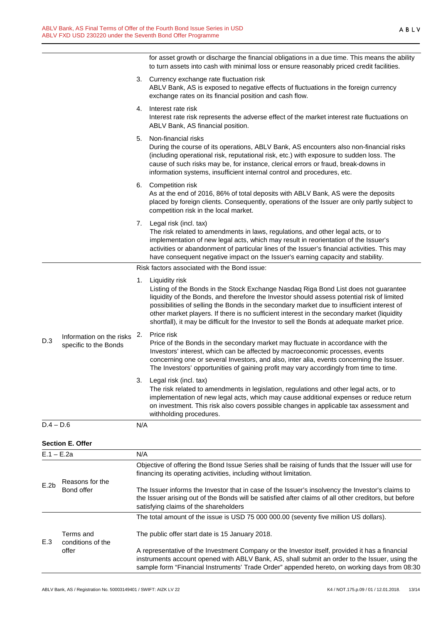for asset growth or discharge the financial obligations in a due time. This means the ability to turn assets into cash with minimal loss or ensure reasonably priced credit facilities.

|              |                                                   |     | 3. Currency exchange rate fluctuation risk<br>ABLV Bank, AS is exposed to negative effects of fluctuations in the foreign currency<br>exchange rates on its financial position and cash flow.                                                                                                                                                                                                                                                                                                    |
|--------------|---------------------------------------------------|-----|--------------------------------------------------------------------------------------------------------------------------------------------------------------------------------------------------------------------------------------------------------------------------------------------------------------------------------------------------------------------------------------------------------------------------------------------------------------------------------------------------|
|              |                                                   | 4.  | Interest rate risk<br>Interest rate risk represents the adverse effect of the market interest rate fluctuations on<br>ABLV Bank, AS financial position.                                                                                                                                                                                                                                                                                                                                          |
|              |                                                   | 5.  | Non-financial risks<br>During the course of its operations, ABLV Bank, AS encounters also non-financial risks<br>(including operational risk, reputational risk, etc.) with exposure to sudden loss. The<br>cause of such risks may be, for instance, clerical errors or fraud, break-downs in<br>information systems, insufficient internal control and procedures, etc.                                                                                                                        |
|              |                                                   |     | 6. Competition risk<br>As at the end of 2016, 86% of total deposits with ABLV Bank, AS were the deposits<br>placed by foreign clients. Consequently, operations of the Issuer are only partly subject to<br>competition risk in the local market.                                                                                                                                                                                                                                                |
|              |                                                   |     | 7. Legal risk (incl. tax)<br>The risk related to amendments in laws, regulations, and other legal acts, or to<br>implementation of new legal acts, which may result in reorientation of the Issuer's<br>activities or abandonment of particular lines of the Issuer's financial activities. This may<br>have consequent negative impact on the Issuer's earning capacity and stability.                                                                                                          |
|              |                                                   |     | Risk factors associated with the Bond issue:                                                                                                                                                                                                                                                                                                                                                                                                                                                     |
|              |                                                   | 1.  | Liquidity risk<br>Listing of the Bonds in the Stock Exchange Nasdaq Riga Bond List does not guarantee<br>liquidity of the Bonds, and therefore the Investor should assess potential risk of limited<br>possibilities of selling the Bonds in the secondary market due to insufficient interest of<br>other market players. If there is no sufficient interest in the secondary market (liquidity<br>shortfall), it may be difficult for the Investor to sell the Bonds at adequate market price. |
| D.3          | Information on the risks<br>specific to the Bonds | 2.  | Price risk<br>Price of the Bonds in the secondary market may fluctuate in accordance with the<br>Investors' interest, which can be affected by macroeconomic processes, events<br>concerning one or several Investors, and also, inter alia, events concerning the Issuer.<br>The Investors' opportunities of gaining profit may vary accordingly from time to time.                                                                                                                             |
|              |                                                   | 3.  | Legal risk (incl. tax)<br>The risk related to amendments in legislation, regulations and other legal acts, or to<br>implementation of new legal acts, which may cause additional expenses or reduce return<br>on investment. This risk also covers possible changes in applicable tax assessment and<br>withholding procedures.                                                                                                                                                                  |
| $D.4 - D.6$  |                                                   | N/A |                                                                                                                                                                                                                                                                                                                                                                                                                                                                                                  |
|              | <b>Section E. Offer</b>                           |     |                                                                                                                                                                                                                                                                                                                                                                                                                                                                                                  |
| $E.1 - E.2a$ |                                                   | N/A |                                                                                                                                                                                                                                                                                                                                                                                                                                                                                                  |
|              |                                                   |     | Objective of offering the Bond Issue Series shall be raising of funds that the Issuer will use for<br>financing its operating activities, including without limitation.                                                                                                                                                                                                                                                                                                                          |
| E.2b         | Reasons for the<br>Bond offer                     |     | The Issuer informs the Investor that in case of the Issuer's insolvency the Investor's claims to                                                                                                                                                                                                                                                                                                                                                                                                 |

| וט טווט | THE BOUGHT INDITIIS THE INVESTOR THAT IN CASE OF THE BOUGHTS INSORGING THE INVESTOR S CIANNIS TO<br>the Issuer arising out of the Bonds will be satisfied after claims of all other creditors, but before<br>satisfying claims of the shareholders |
|---------|----------------------------------------------------------------------------------------------------------------------------------------------------------------------------------------------------------------------------------------------------|
|         | The total amount of the issue is USD 75 000 000.00 (seventy five million US dollars).                                                                                                                                                              |

E.3 Terms and conditions of the offer The public offer start date is 15 January 2018. A representative of the Investment Company or the Investor itself, provided it has a financial instruments account opened with ABLV Bank, AS, shall submit an order to the Issuer, using the sample form "Financial Instruments' Trade Order" appended hereto, on working days from 08:30